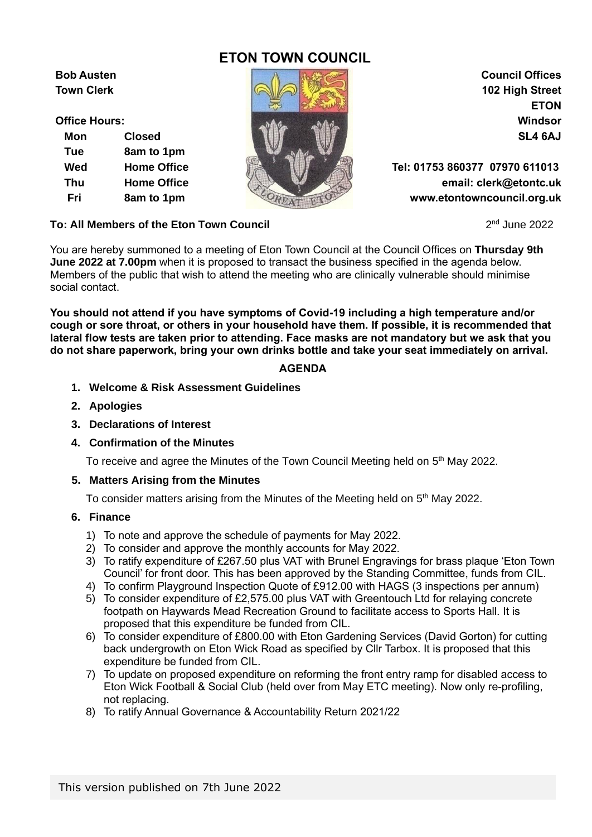# **ETON TOWN COUNCIL**

**Mon Closed SL4 6AJ Tue 8am to 1pm**



**ETON**

**Wed Home Office Tel: 01753 860377 07970 611013 Thu Home Office email: clerk@etontc.uk Fri 8am to 1pm www.etontowncouncil.org.uk**

 $2<sup>nd</sup>$  June 2022

## **To: All Members of the Eton Town Council**

You are hereby summoned to a meeting of Eton Town Council at the Council Offices on **Thursday 9th June 2022 at 7.00pm** when it is proposed to transact the business specified in the agenda below. Members of the public that wish to attend the meeting who are clinically vulnerable should minimise social contact.

**You should not attend if you have symptoms of Covid-19 including a high temperature and/or cough or sore throat, or others in your household have them. If possible, it is recommended that lateral flow tests are taken prior to attending. Face masks are not mandatory but we ask that you do not share paperwork, bring your own drinks bottle and take your seat immediately on arrival.**

## **AGENDA**

- **1. Welcome & Risk Assessment Guidelines**
- **2. Apologies**
- **3. Declarations of Interest**
- **4. Confirmation of the Minutes**

To receive and agree the Minutes of the Town Council Meeting held on 5<sup>th</sup> May 2022.

## **5. Matters Arising from the Minutes**

To consider matters arising from the Minutes of the Meeting held on 5<sup>th</sup> May 2022.

## **6. Finance**

- 1) To note and approve the schedule of payments for May 2022.
- 2) To consider and approve the monthly accounts for May 2022.
- 3) To ratify expenditure of £267.50 plus VAT with Brunel Engravings for brass plaque 'Eton Town Council' for front door. This has been approved by the Standing Committee, funds from CIL.
- 4) To confirm Playground Inspection Quote of £912.00 with HAGS (3 inspections per annum)
- 5) To consider expenditure of £2,575.00 plus VAT with Greentouch Ltd for relaying concrete footpath on Haywards Mead Recreation Ground to facilitate access to Sports Hall. It is proposed that this expenditure be funded from CIL.
- 6) To consider expenditure of £800.00 with Eton Gardening Services (David Gorton) for cutting back undergrowth on Eton Wick Road as specified by Cllr Tarbox. It is proposed that this expenditure be funded from CIL.
- 7) To update on proposed expenditure on reforming the front entry ramp for disabled access to Eton Wick Football & Social Club (held over from May ETC meeting). Now only re-profiling, not replacing.
- 8) To ratify Annual Governance & Accountability Return 2021/22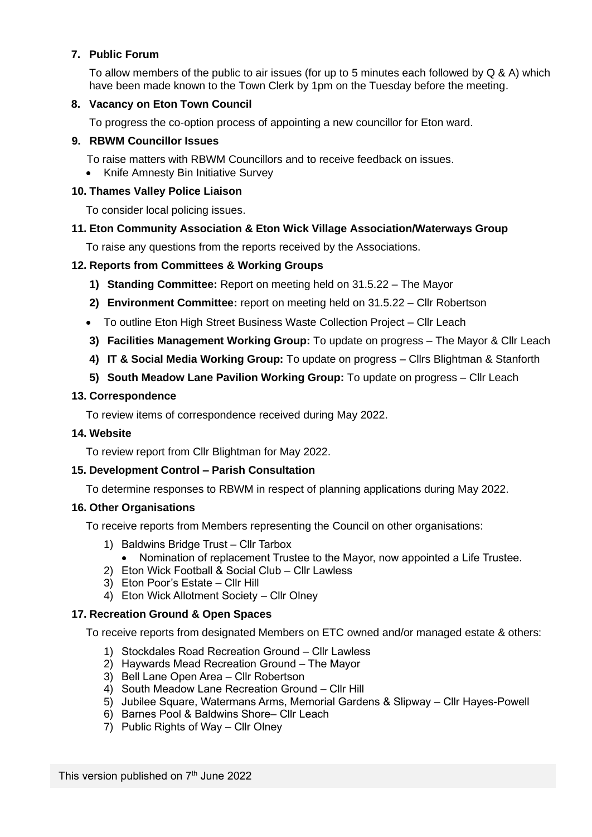## **7. Public Forum**

To allow members of the public to air issues (for up to 5 minutes each followed by Q & A) which have been made known to the Town Clerk by 1pm on the Tuesday before the meeting.

## **8. Vacancy on Eton Town Council**

To progress the co-option process of appointing a new councillor for Eton ward.

## **9. RBWM Councillor Issues**

To raise matters with RBWM Councillors and to receive feedback on issues.

• Knife Amnesty Bin Initiative Survey

## **10. Thames Valley Police Liaison**

To consider local policing issues.

## **11. Eton Community Association & Eton Wick Village Association/Waterways Group**

To raise any questions from the reports received by the Associations.

## **12. Reports from Committees & Working Groups**

- **1) Standing Committee:** Report on meeting held on 31.5.22 The Mayor
- **2) Environment Committee:** report on meeting held on 31.5.22 Cllr Robertson
- To outline Eton High Street Business Waste Collection Project Cllr Leach
- **3) Facilities Management Working Group:** To update on progress The Mayor & Cllr Leach
- **4) IT & Social Media Working Group:** To update on progress Cllrs Blightman & Stanforth
- **5) South Meadow Lane Pavilion Working Group:** To update on progress Cllr Leach

## **13. Correspondence**

To review items of correspondence received during May 2022.

## **14. Website**

To review report from Cllr Blightman for May 2022.

## **15. Development Control – Parish Consultation**

To determine responses to RBWM in respect of planning applications during May 2022.

## **16. Other Organisations**

To receive reports from Members representing the Council on other organisations:

- 1) Baldwins Bridge Trust Cllr Tarbox
	- Nomination of replacement Trustee to the Mayor, now appointed a Life Trustee.
- 2) Eton Wick Football & Social Club Cllr Lawless
- 3) Eton Poor's Estate Cllr Hill
- 4) Eton Wick Allotment Society Cllr Olney

## **17. Recreation Ground & Open Spaces**

To receive reports from designated Members on ETC owned and/or managed estate & others:

- 1) Stockdales Road Recreation Ground Cllr Lawless
- 2) Haywards Mead Recreation Ground The Mayor
- 3) Bell Lane Open Area Cllr Robertson
- 4) South Meadow Lane Recreation Ground Cllr Hill
- 5) Jubilee Square, Watermans Arms, Memorial Gardens & Slipway Cllr Hayes-Powell
- 6) Barnes Pool & Baldwins Shore– Cllr Leach
- 7) Public Rights of Way Cllr Olney